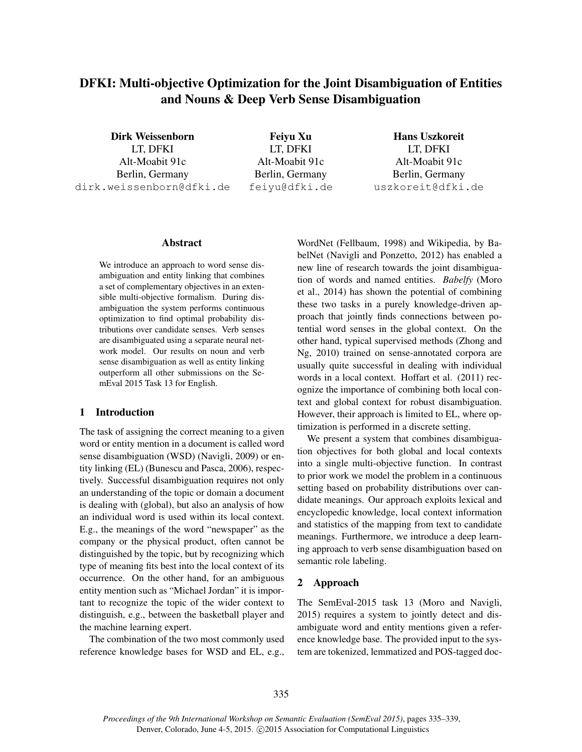# DFKI: Multi-objective Optimization for the Joint Disambiguation of Entities and Nouns & Deep Verb Sense Disambiguation

Dirk Weissenborn LT, DFKI Alt-Moabit 91c Berlin, Germany dirk.weissenborn@dfki.de

Feiyu Xu LT, DFKI Alt-Moabit 91c Berlin, Germany feiyu@dfki.de

Hans Uszkoreit LT, DFKI Alt-Moabit 91c Berlin, Germany uszkoreit@dfki.de

#### Abstract

We introduce an approach to word sense disambiguation and entity linking that combines a set of complementary objectives in an extensible multi-objective formalism. During disambiguation the system performs continuous optimization to find optimal probability distributions over candidate senses. Verb senses are disambiguated using a separate neural network model. Our results on noun and verb sense disambiguation as well as entity linking outperform all other submissions on the SemEval 2015 Task 13 for English.

# 1 Introduction

The task of assigning the correct meaning to a given word or entity mention in a document is called word sense disambiguation (WSD) (Navigli, 2009) or entity linking (EL) (Bunescu and Pasca, 2006), respectively. Successful disambiguation requires not only an understanding of the topic or domain a document is dealing with (global), but also an analysis of how an individual word is used within its local context. E.g., the meanings of the word "newspaper" as the company or the physical product, often cannot be distinguished by the topic, but by recognizing which type of meaning fits best into the local context of its occurrence. On the other hand, for an ambiguous entity mention such as "Michael Jordan" it is important to recognize the topic of the wider context to distinguish, e.g., between the basketball player and the machine learning expert.

The combination of the two most commonly used reference knowledge bases for WSD and EL, e.g., WordNet (Fellbaum, 1998) and Wikipedia, by BabelNet (Navigli and Ponzetto, 2012) has enabled a new line of research towards the joint disambiguation of words and named entities. *Babelfy* (Moro et al., 2014) has shown the potential of combining these two tasks in a purely knowledge-driven approach that jointly finds connections between potential word senses in the global context. On the other hand, typical supervised methods (Zhong and Ng, 2010) trained on sense-annotated corpora are usually quite successful in dealing with individual words in a local context. Hoffart et al. (2011) recognize the importance of combining both local context and global context for robust disambiguation. However, their approach is limited to EL, where optimization is performed in a discrete setting.

We present a system that combines disambiguation objectives for both global and local contexts into a single multi-objective function. In contrast to prior work we model the problem in a continuous setting based on probability distributions over candidate meanings. Our approach exploits lexical and encyclopedic knowledge, local context information and statistics of the mapping from text to candidate meanings. Furthermore, we introduce a deep learning approach to verb sense disambiguation based on semantic role labeling.

### 2 Approach

The SemEval-2015 task 13 (Moro and Navigli, 2015) requires a system to jointly detect and disambiguate word and entity mentions given a reference knowledge base. The provided input to the system are tokenized, lemmatized and POS-tagged doc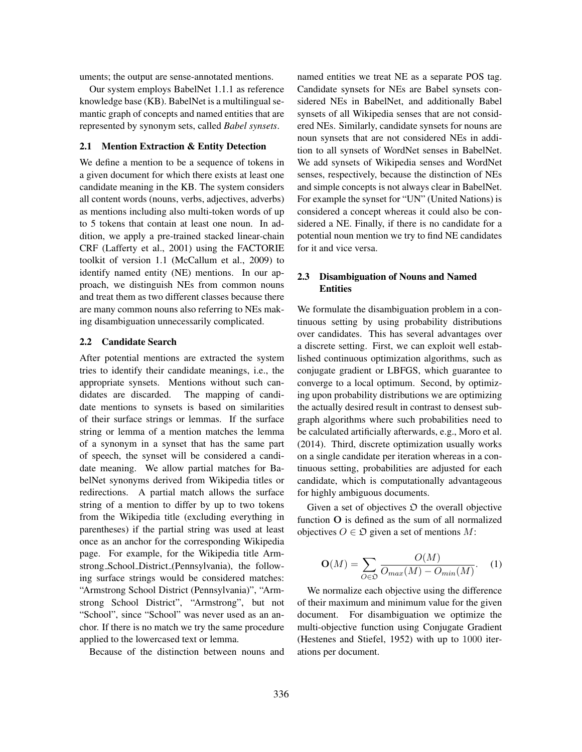uments; the output are sense-annotated mentions.

Our system employs BabelNet 1.1.1 as reference knowledge base (KB). BabelNet is a multilingual semantic graph of concepts and named entities that are represented by synonym sets, called *Babel synsets*.

## 2.1 Mention Extraction & Entity Detection

We define a mention to be a sequence of tokens in a given document for which there exists at least one candidate meaning in the KB. The system considers all content words (nouns, verbs, adjectives, adverbs) as mentions including also multi-token words of up to 5 tokens that contain at least one noun. In addition, we apply a pre-trained stacked linear-chain CRF (Lafferty et al., 2001) using the FACTORIE toolkit of version 1.1 (McCallum et al., 2009) to identify named entity (NE) mentions. In our approach, we distinguish NEs from common nouns and treat them as two different classes because there are many common nouns also referring to NEs making disambiguation unnecessarily complicated.

#### 2.2 Candidate Search

After potential mentions are extracted the system tries to identify their candidate meanings, i.e., the appropriate synsets. Mentions without such candidates are discarded. The mapping of candidate mentions to synsets is based on similarities of their surface strings or lemmas. If the surface string or lemma of a mention matches the lemma of a synonym in a synset that has the same part of speech, the synset will be considered a candidate meaning. We allow partial matches for BabelNet synonyms derived from Wikipedia titles or redirections. A partial match allows the surface string of a mention to differ by up to two tokens from the Wikipedia title (excluding everything in parentheses) if the partial string was used at least once as an anchor for the corresponding Wikipedia page. For example, for the Wikipedia title Armstrong School District (Pennsylvania), the following surface strings would be considered matches: "Armstrong School District (Pennsylvania)", "Armstrong School District", "Armstrong", but not "School", since "School" was never used as an anchor. If there is no match we try the same procedure applied to the lowercased text or lemma.

Because of the distinction between nouns and

named entities we treat NE as a separate POS tag. Candidate synsets for NEs are Babel synsets considered NEs in BabelNet, and additionally Babel synsets of all Wikipedia senses that are not considered NEs. Similarly, candidate synsets for nouns are noun synsets that are not considered NEs in addition to all synsets of WordNet senses in BabelNet. We add synsets of Wikipedia senses and WordNet senses, respectively, because the distinction of NEs and simple concepts is not always clear in BabelNet. For example the synset for "UN" (United Nations) is considered a concept whereas it could also be considered a NE. Finally, if there is no candidate for a potential noun mention we try to find NE candidates for it and vice versa.

## 2.3 Disambiguation of Nouns and Named **Entities**

We formulate the disambiguation problem in a continuous setting by using probability distributions over candidates. This has several advantages over a discrete setting. First, we can exploit well established continuous optimization algorithms, such as conjugate gradient or LBFGS, which guarantee to converge to a local optimum. Second, by optimizing upon probability distributions we are optimizing the actually desired result in contrast to densest subgraph algorithms where such probabilities need to be calculated artificially afterwards, e.g., Moro et al. (2014). Third, discrete optimization usually works on a single candidate per iteration whereas in a continuous setting, probabilities are adjusted for each candidate, which is computationally advantageous for highly ambiguous documents.

Given a set of objectives  $\mathfrak D$  the overall objective function O is defined as the sum of all normalized objectives  $O \in \mathfrak{O}$  given a set of mentions M:

$$
\mathbf{O}(M) = \sum_{O \in \mathfrak{O}} \frac{O(M)}{O_{max}(M) - O_{min}(M)}.
$$
 (1)

We normalize each objective using the difference of their maximum and minimum value for the given document. For disambiguation we optimize the multi-objective function using Conjugate Gradient (Hestenes and Stiefel, 1952) with up to 1000 iterations per document.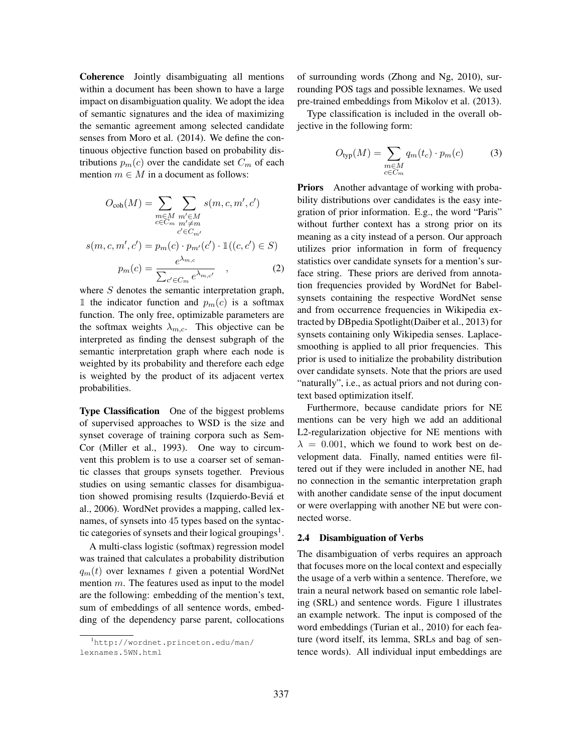Coherence Jointly disambiguating all mentions within a document has been shown to have a large impact on disambiguation quality. We adopt the idea of semantic signatures and the idea of maximizing the semantic agreement among selected candidate senses from Moro et al. (2014). We define the continuous objective function based on probability distributions  $p_m(c)$  over the candidate set  $C_m$  of each mention  $m \in M$  in a document as follows:

$$
O_{\text{coh}}(M) = \sum_{\substack{m \in M \\ c \in C_m}} \sum_{\substack{m' \in M \\ c' \in C_{m'}}} s(m, c, m', c')
$$

$$
s(m, c, m', c') = p_m(c) \cdot p_{m'}(c') \cdot \mathbb{1}((c, c') \in S)
$$

$$
p_m(c) = \frac{e^{\lambda_{m,c}}}{\sum_{c' \in C_m} e^{\lambda_{m,c'}}}, \qquad (2)
$$

where S denotes the semantic interpretation graph, 1 the indicator function and  $p_m(c)$  is a softmax function. The only free, optimizable parameters are the softmax weights  $\lambda_{m,c}$ . This objective can be interpreted as finding the densest subgraph of the semantic interpretation graph where each node is weighted by its probability and therefore each edge is weighted by the product of its adjacent vertex probabilities.

Type Classification One of the biggest problems of supervised approaches to WSD is the size and synset coverage of training corpora such as Sem-Cor (Miller et al., 1993). One way to circumvent this problem is to use a coarser set of semantic classes that groups synsets together. Previous studies on using semantic classes for disambiguation showed promising results (Izquierdo-Bevia et ´ al., 2006). WordNet provides a mapping, called lexnames, of synsets into 45 types based on the syntactic categories of synsets and their logical groupings<sup>1</sup>.

A multi-class logistic (softmax) regression model was trained that calculates a probability distribution  $q_m(t)$  over lexnames t given a potential WordNet mention  $m$ . The features used as input to the model are the following: embedding of the mention's text, sum of embeddings of all sentence words, embedding of the dependency parse parent, collocations of surrounding words (Zhong and Ng, 2010), surrounding POS tags and possible lexnames. We used pre-trained embeddings from Mikolov et al. (2013).

Type classification is included in the overall objective in the following form:

$$
O_{\text{typ}}(M) = \sum_{\substack{m \in M \\ c \in C_m}} q_m(t_c) \cdot p_m(c) \tag{3}
$$

Priors Another advantage of working with probability distributions over candidates is the easy integration of prior information. E.g., the word "Paris" without further context has a strong prior on its meaning as a city instead of a person. Our approach utilizes prior information in form of frequency statistics over candidate synsets for a mention's surface string. These priors are derived from annotation frequencies provided by WordNet for Babelsynsets containing the respective WordNet sense and from occurrence frequencies in Wikipedia extracted by DBpedia Spotlight(Daiber et al., 2013) for synsets containing only Wikipedia senses. Laplacesmoothing is applied to all prior frequencies. This prior is used to initialize the probability distribution over candidate synsets. Note that the priors are used "naturally", i.e., as actual priors and not during context based optimization itself.

Furthermore, because candidate priors for NE mentions can be very high we add an additional L2-regularization objective for NE mentions with  $\lambda = 0.001$ , which we found to work best on development data. Finally, named entities were filtered out if they were included in another NE, had no connection in the semantic interpretation graph with another candidate sense of the input document or were overlapping with another NE but were connected worse.

#### 2.4 Disambiguation of Verbs

The disambiguation of verbs requires an approach that focuses more on the local context and especially the usage of a verb within a sentence. Therefore, we train a neural network based on semantic role labeling (SRL) and sentence words. Figure 1 illustrates an example network. The input is composed of the word embeddings (Turian et al., 2010) for each feature (word itself, its lemma, SRLs and bag of sentence words). All individual input embeddings are

<sup>1</sup>http://wordnet.princeton.edu/man/ lexnames.5WN.html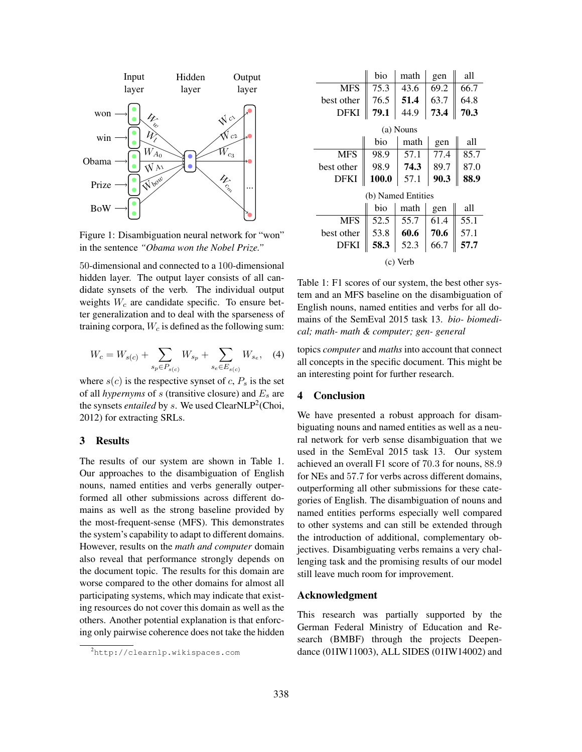

Figure 1: Disambiguation neural network for "won" in the sentence *"Obama won the Nobel Prize."*

50-dimensional and connected to a 100-dimensional hidden layer. The output layer consists of all candidate synsets of the verb. The individual output weights  $W_c$  are candidate specific. To ensure better generalization and to deal with the sparseness of training corpora,  $W_c$  is defined as the following sum:

$$
W_c = W_{s(c)} + \sum_{s_p \in P_{s(c)}} W_{s_p} + \sum_{s_e \in E_{s(c)}} W_{s_e}, \quad (4)
$$

where  $s(c)$  is the respective synset of c,  $P_s$  is the set of all *hypernyms* of  $s$  (transitive closure) and  $E_s$  are the synsets *entailed* by s. We used ClearNLP<sup>2</sup>(Choi, 2012) for extracting SRLs.

### 3 Results

The results of our system are shown in Table 1. Our approaches to the disambiguation of English nouns, named entities and verbs generally outperformed all other submissions across different domains as well as the strong baseline provided by the most-frequent-sense (MFS). This demonstrates the system's capability to adapt to different domains. However, results on the *math and computer* domain also reveal that performance strongly depends on the document topic. The results for this domain are worse compared to the other domains for almost all participating systems, which may indicate that existing resources do not cover this domain as well as the others. Another potential explanation is that enforcing only pairwise coherence does not take the hidden

|                    | bio          | math | gen  | all  |
|--------------------|--------------|------|------|------|
| <b>MFS</b>         | 75.3         | 43.6 | 69.2 | 66.7 |
| best other         | 76.5         | 51.4 | 63.7 | 64.8 |
| DFKI               | 79.1         | 44.9 | 73.4 | 70.3 |
| (a) Nouns          |              |      |      |      |
|                    | bio          | math | gen  | all  |
| <b>MFS</b>         | 98.9         | 57.1 | 77.4 | 85.7 |
| best other         | 98.9         | 74.3 | 89.7 | 87.0 |
| DFKI               | <b>100.0</b> | 57.1 | 90.3 | 88.9 |
| (b) Named Entities |              |      |      |      |
|                    | bio          | math | gen  | all  |
| <b>MFS</b>         | 52.5         | 55.7 | 61.4 | 55.1 |
| best other         | 53.8         | 60.6 | 70.6 | 57.1 |
| DFKI               | 58.3         | 52.3 | 66.7 | 57.7 |
| (c) Verb           |              |      |      |      |

Table 1: F1 scores of our system, the best other system and an MFS baseline on the disambiguation of English nouns, named entities and verbs for all domains of the SemEval 2015 task 13. *bio- biomedical; math- math & computer; gen- general*

topics *computer* and *maths* into account that connect all concepts in the specific document. This might be an interesting point for further research.

### 4 Conclusion

We have presented a robust approach for disambiguating nouns and named entities as well as a neural network for verb sense disambiguation that we used in the SemEval 2015 task 13. Our system achieved an overall F1 score of 70.3 for nouns, 88.9 for NEs and 57.7 for verbs across different domains, outperforming all other submissions for these categories of English. The disambiguation of nouns and named entities performs especially well compared to other systems and can still be extended through the introduction of additional, complementary objectives. Disambiguating verbs remains a very challenging task and the promising results of our model still leave much room for improvement.

### Acknowledgment

This research was partially supported by the German Federal Ministry of Education and Research (BMBF) through the projects Deependance (01IW11003), ALL SIDES (01IW14002) and

<sup>2</sup>http://clearnlp.wikispaces.com